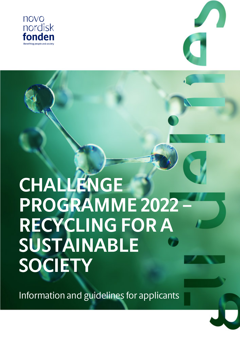



# **CHALLENGE PROGRAMME 2022 – RECYCLING FOR A SUSTAINABLE SOCIETY**

Information and guidelines for applicants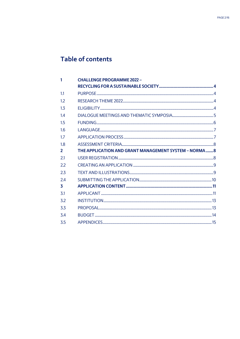# Table of contents

| 1              | <b>CHALLENGE PROGRAMME 2022 -</b>                     |  |
|----------------|-------------------------------------------------------|--|
|                |                                                       |  |
| 1.1            |                                                       |  |
| 12             |                                                       |  |
| 1 <sub>3</sub> |                                                       |  |
| 14             |                                                       |  |
| 1.5            |                                                       |  |
| 1.6            |                                                       |  |
| 1.7            |                                                       |  |
| 1.8            |                                                       |  |
| $\overline{2}$ | THE APPLICATION AND GRANT MANAGEMENT SYSTEM - NORMA 8 |  |
| 21             |                                                       |  |
| 22             |                                                       |  |
| 2.3            |                                                       |  |
| 24             |                                                       |  |
| 3              |                                                       |  |
| 3.1            |                                                       |  |
| 3.2            |                                                       |  |
| 3.3            |                                                       |  |
| 34             |                                                       |  |
| 3.5            |                                                       |  |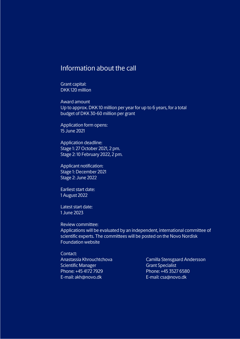# Information about the call

Grant capital: DKK 120 million

Award amount Up to approx. DKK 10 million per year for up to 6 years, for a total budget of DKK 30-60 million per grant

Application form opens: 15 June 2021

Application deadline: Stage 1: 27 October 2021, 2 pm. Stage 2: 10 February 2022, 2 pm.

Applicant notification: Stage 1: December 2021 Stage 2: June 2022

Earliest start date: 1 August 2022

Latest start date: 1 June 2023

Review committee: Applications will be evaluated by an independent, international committee of scientific experts. The committees will be posted on the Novo Nordisk Foundation website

Contact: Anastassia Khrouchtchova Scientific Manager Phone: +45 4172 7929 E-mail: akh@novo.dk

Camilla Stensgaard Andersson Grant Specialist Phone: +45 3527 6580 E-mail: csa@novo.dk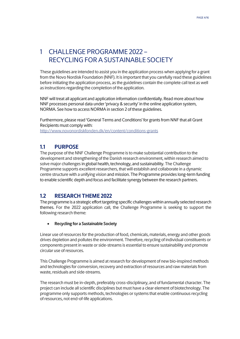# <span id="page-3-0"></span>1 CHALLENGE PROGRAMME 2022 – RECYCLING FOR A SUSTAINABLE SOCIETY

These guidelines are intended to assist you in the application process when applying for a grant from the Novo Nordisk Foundation (NNF). It is important that you carefully read these guidelines before initiating the application process, as the guidelines contain the complete call text as well as instructions regarding the completion of the application.

NNF will treat all applicant and application information confidentially. Read more about how NNF processes personal data under 'privacy & security' in the online application system, NORMA. See how to access NORMA in section 2 of these guidelines.

Furthermore, please read 'General Terms and Conditions' for grants from NNF that all Grant Recipients must comply with: [http://www.novonordiskfonden.dk/en/content/conditions](http://www.novonordiskfonden.dk/en/content/conditions-grants)-grants

## <span id="page-3-1"></span>**1.1 PURPOSE**

The purpose of the NNF Challenge Programme is to make substantial contribution to the development and strengthening of the Danish research environment, within research aimed to solve major challenges in global health, technology, and sustainability. The Challenge Programme supports excellent researchers, that will establish and collaborate in a dynamic centre structure with a unifying vision and mission. The Programme provides long-term funding to enable scientific depth and focus and facilitate synergy between the research partners.

# <span id="page-3-2"></span>**1.2 RESEARCH THEME 2022**

The programme is a strategic effort targeting specific challenges within annually selected research themes. For the 2022 application call, the Challenge Programme is seeking to support the following research theme:

### • **Recycling for a Sustainable Society**

<span id="page-3-3"></span>Linear use of resources for the production of food, chemicals, materials, energy and other goods drives depletion and pollutes the environment. Therefore, recycling of individual constituents or components present in waste or side-streams is essential to ensure sustainability and promote circular use of resources.

This Challenge Programme is aimed at research for development of new bio-inspired methods and technologies for conversion, recovery and extraction of resources and raw materials from waste, residuals and side-streams.

The research must be in-depth, preferably cross-disciplinary, and of fundamental character. The project can include all scientific disciplines but must have a clear element of biotechnology. The programme only supports methods, technologies or systems that enable continuous recycling of resources, not end-of-life applications.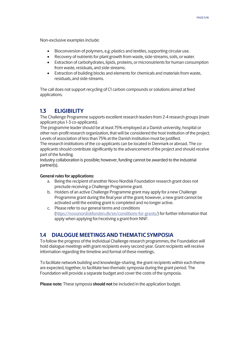Non-exclusive examples include:

- Bioconversion of polymers, e.g. plastics and textiles, supporting circular use.
- Recovery of nutrients for plant growth from waste, side-streams, soils, or water.
- Extraction of carbohydrates, lipids, proteins, or micronutrients for human consumption from waste, residuals, and side-streams.
- Extraction of building blocks and elements for chemicals and materials from waste, residuals, and side-streams.

The call does not support recycling of C1 carbon compounds or solutions aimed at feed applications.

# **1.3 ELIGIBILITY**

The Challenge Programme supports excellent research leaders from 2-4 research groups (main applicant plus 1-3 co-applicants).

The programme leader should be at least 75% employed at a Danish university, hospital or other non-profit research organization, that will be considered the host institution of the project. Levels of association of less than 75% at the Danish institution must be justified.

The research institutions of the co-applicants can be located in Denmark or abroad. The coapplicants should contribute significantly to the advancement of the project and should receive part of the funding.

Industry collaboration is possible; however, funding cannot be awarded to the industrial partner(s).

#### **General rules for applications:**

- a. Being the recipient of another Novo Nordisk Foundation research grant does not preclude receiving a Challenge Programme grant.
- b. Holders of an active Challenge Programme grant may apply for a new Challenge Programme grant during the final year of the grant; however, a new grant cannot be activated until the existing grant is completed and no longer active.
- c. Please refer to our general terms and conditions [\(https://novonordiskfonden.dk/en/conditions](https://novonordiskfonden.dk/en/conditions-for-grants/)-for-grants/) for further information that apply when applying for/receiving a grant from NNF.

# <span id="page-4-0"></span>**1.4 DIALOGUE MEETINGS AND THEMATIC SYMPOSIA**

To follow the progress of the individual Challenge research programmes, the Foundation will hold dialogue meetings with grant recipients every second year. Grant recipients will receive information regarding the timeline and format of these meetings.

To facilitate network building and knowledge-sharing, the grant recipients within each theme are expected, together, to facilitate two thematic symposia during the grant period. The Foundation will provide a separate budget and cover the costs of the symposia.

**Please note:** These symposia **should not** be included in the application budget.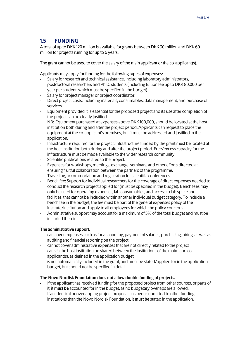# <span id="page-5-0"></span>**1.5 FUNDING**

A total of up to DKK 120 million is available for grants between DKK 30 million and DKK 60 million for projects running for up to 6 years.

The grant cannot be used to cover the salary of the main applicant or the co-applicant(s).

Applicants may apply for funding for the following types of expenses:

- Salary for research and technical assistance, including laboratory administrators, postdoctoral researchers and Ph.D. students (including tuition fee up to DKK 80,000 per year per student, which must be specified in the budget).
- Salary for project manager or project coordinator.
- Direct project costs, including materials, consumables, data management, and purchase of services.
- Equipment provided it is essential for the proposed project and its use after completion of the project can be clearly justified. NB: Equipment purchased at expenses above DKK 100,000, should be located at the host institution both during and after the project period. Applicants can request to place the equipment at the co-applicant's premises, but it must be addressed and justified in the application.
- Infrastructure required for the project. Infrastructure funded by the grant must be located at the host institution both during and after the project period. Free/excess capacity for the infrastructure must be made available to the wider research community.
- Scientific publications related to the project.
- Expenses for workshops, meetings, exchange, seminars, and other efforts directed at ensuring fruitful collaboration between the partners of the programme.
- Travelling, accommodation and registration for scientific conferences.
- Bench fee: Support for individual researchers for the coverage of direct expenses needed to conduct the research project applied for (must be specified in the budget). Bench fees may only be used for operating expenses, lab consumables, and access to lab space and facilities, that cannot be included within another individual budget category. To include a bench fee in the budget, the fee must be part of the general expenses policy of the institute/institution and apply to all employees for which the policy concerns.
- Administrative support may account for a maximum of 5% of the total budget and must be included therein.

#### **The administrative support:**

- can cover expenses such as for accounting, payment of salaries, purchasing, hiring, as well as auditing and financial reporting on the project
- cannot cover administrative expenses that are not directly related to the project
- can via the host institution be shared between the institutions of the main- and coapplicant(s), as defined in the application budget
- is not automatically included in the grant, and must be stated/applied for in the application budget, but should not be specified in detail

#### **The Novo Nordisk Foundation does not allow double funding of projects.**

- If the applicant has received funding for the proposed project from other sources, or parts of it, it **must be** accounted for in the budget, as no budgetary overlaps are allowed.
- If an identical or overlapping project proposal has been submitted to other funding institutions than the Novo Nordisk Foundation, it **must be** stated in the application.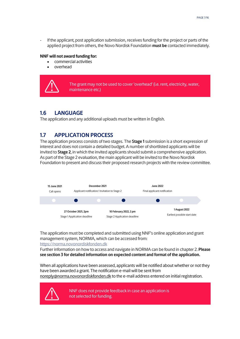If the applicant, post application submission, receives funding for the project or parts of the applied project from others, the Novo Nordisk Foundation **must be** contacted immediately.

#### **NNF will not award funding for:**

- commercial activities
- overhead

The grant may not be used to cover 'overhead' (i.e. rent, electricity, water, maintenance etc.)

# <span id="page-6-0"></span>**1.6 LANGUAGE**

<span id="page-6-1"></span>The application and any additional uploads must be written in English.

# **1.7 APPLICATION PROCESS**

The application process consists of two stages. The **Stage 1** submission is a short expression of interest and does not contain a detailed budget. A number of shortlisted applicants will be invited to **Stage 2**, in which the invited applicants should submit a comprehensive application. As part of the Stage 2 evaluation, the main applicant will be invited to the Novo Nordisk Foundation to present and discuss their proposed research projects with the review committee.



The application must be completed and submitted using NNF's online application and grant management system, NORMA, which can be accessed from: [https://norma.novonordiskfonden.dk](https://norma.novonordiskfonden.dk/)

Further information on how to access and navigate in NORMA can be found in chapter 2. **Please see section 3 for detailed information on expected content and format of the application.**

When all applications have been assessed, applicants will be notified about whether or not they have been awarded a grant. The notification e-mail will be sent from [noreply@norma.novonordiskfonden.dk](mailto:noreply@norma.novonordiskfonden.dk) to the e-mail address entered on initial registration.



NNF does not provide feedback in case an application is not selected for funding.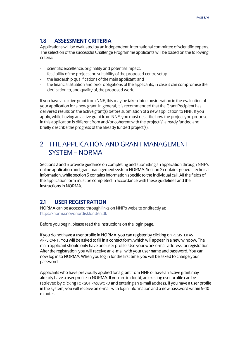# <span id="page-7-0"></span>**1.8 ASSESSMENT CRITERIA**

Applications will be evaluated by an independent, international committee of scientific experts. The selection of the successful Challenge Programme applicants will be based on the following criteria:

- scientific excellence, originality and potential impact.
- feasibility of the project and suitability of the proposed centre setup.
- the leadership qualifications of the main applicant, and
- the financial situation and prior obligations of the applicants, in case it can compromise the dedication to, and quality of, the proposed work.

If you have an active grant from NNF, this may be taken into consideration in the evaluation of your application for a new grant. In general, it is recommended that the Grant Recipient has delivered results on the active grant(s) before submission of a new application to NNF. If you apply, while having an active grant from NNF, you must describe how the project you propose in this application is different from and/or coherent with the project(s) already funded and briefly describe the progress of the already funded project(s).

# <span id="page-7-1"></span>2 THE APPLICATION AND GRANT MANAGEMENT SYSTEM – NORMA

Sections 2 and 3 provide guidance on completing and submitting an application through NNF's online application and grant management system NORMA. Section 2 contains general technical information, while section 3 contains information specific to the individual call. All the fields of the application form must be completed in accordance with these guidelines and the instructions in NORMA.

# <span id="page-7-2"></span>**2.1 USER REGISTRATION**

NORMA can be accessed through links on NNF's website or directly at: [https://norma.novonordiskfonden.dk](https://norma.novonordiskfonden.dk/)

Before you begin, please read the instructions on the login page.

If you do not have a user profile in NORMA, you can register by clicking on REGISTER AS APPLICANT. You will be asked to fill in a contact form, which will appear in a new window. The main applicant should only have one user profile. Use your work e-mail address for registration. After the registration, you will receive an e-mail with your user name and password. You can now log in to NORMA. When you log in for the first time, you will be asked to change your password.

Applicants who have previously applied for a grant from NNF or have an active grant may already have a user profile in NORMA. If you are in doubt, an existing user profile can be retrieved by clicking FORGOT PASSWORD and entering an e-mail address. If you have a user profile in the system, you will receive an e-mail with login information and a new password within 5–10 minutes.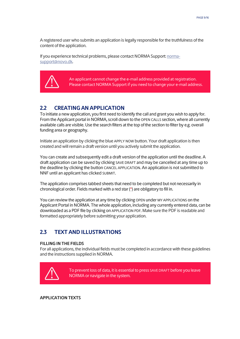A registered user who submits an application is legally responsible for the truthfulness of the content of the application.

If you experience technical problems, please contact NORMA Support[: norma](mailto:norma-support@novo.dk)[support@novo.dk.](mailto:norma-support@novo.dk)



An applicant cannot change the e-mail address provided at registration. Please contact NORMA Support if you need to change your e-mail address.

# <span id="page-8-0"></span>**2.2 CREATING AN APPLICATION**

To initiate a new application, you first need to identify the call and grant you wish to apply for. From the Applicant portal in NORMA, scroll down to the OPEN CALLS section, where all currently available calls are visible. Use the search filters at the top of the section to filter by e.g. overall funding area or geography.

Initiate an application by clicking the blue APPLY NOW button. Your draft application is then created and will remain a draft version until you actively submit the application.

You can create and subsequently edit a draft version of the application until the deadline. A draft application can be saved by clicking SAVE DRAFT and may be cancelled at any time up to the deadline by clicking the button CANCEL APPLICATION. An application is not submitted to NNF until an applicant has clicked SUBMIT.

The application comprises tabbed sheets that need to be completed but not necessarily in chronological order. Fields marked with a red star (\*) are obligatory to fill in.

You can review the application at any time by clicking OPEN under MY APPLICATIONS on the Applicant Portal in NORMA. The whole application, including any currently entered data, can be downloaded as a PDF file by clicking on APPLICATION PDF. Make sure the PDF is readable and formatted appropriately before submitting your application.

# <span id="page-8-1"></span>**2.3 TEXT AND ILLUSTRATIONS**

#### **FILLING IN THE FIELDS**

For all applications, the individual fields must be completed in accordance with these guidelines and the instructions supplied in NORMA.



To prevent loss of data, it is essential to press SAVE DRAFT before you leave NORMA or navigate in the system.

**APPLICATION TEXTS**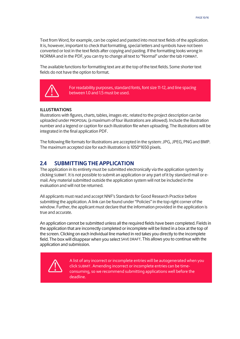Text from Word, for example, can be copied and pasted into most text fields of the application. It is, however, important to check that formatting, special letters and symbols have not been converted or lost in the text fields after copying and pasting. If the formatting looks wrong in NORMA and in the PDF, you can try to change all text to "Normal" under the tab FORMAT.

The available functions for formatting text are at the top of the text fields. Some shorter text fields do not have the option to format.



For readability purposes, standard fonts, font size 11-12, and line spacing between 1.0 and 1.5 must be used.

#### **ILLUSTRATIONS**

Illustrations with figures, charts, tables, images etc. related to the project description can be uploaded under PROPOSAL (a maximum of four illustrations are allowed). Include the illustration number and a legend or caption for each illustration file when uploading. The illustrations will be integrated in the final application PDF.

<span id="page-9-0"></span>The following file formats for illustrations are accepted in the system: JPG, JPEG, PNG and BMP. The maximum accepted size for each illustration is 1050\*1650 pixels.

## **2.4 SUBMITTING THE APPLICATION**

The application in its entirety must be submitted electronically via the application system by clicking SUBMIT. It is not possible to submit an application or any part of it by standard mail or email. Any material submitted outside the application system will not be included in the evaluation and will not be returned.

All applicants must read and accept NNF's Standards for Good Research Practice before submitting the application. A link can be found under "Policies" in the top right corner of the window. Further, the applicant must declare that the information provided in the application is true and accurate.

An application cannot be submitted unless all the required fields have been completed. Fields in the application that are incorrectly completed or incomplete will be listed in a box at the top of the screen. Clicking on each individual line marked in red takes you directly to the incomplete field. The box will disappear when you select SAVE DRAFT. This allows you to continue with the application and submission.



A list of any incorrect or incomplete entries will be autogenerated when you click SUBMIT. Amending incorrect or incomplete entries can be timeconsuming, so we recommend submitting applications well before the deadline.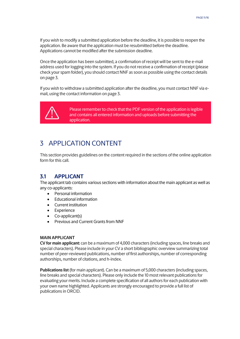If you wish to modify a submitted application before the deadline, it is possible to reopen the application. Be aware that the application must be resubmitted before the deadline. Applications cannot be modified after the submission deadline.

Once the application has been submitted, a confirmation of receipt will be sent to the e-mail address used for logging into the system. If you do not receive a confirmation of receipt (please check your spam folder), you should contact NNF as soon as possible using the contact details on page 3.

If you wish to withdraw a submitted application after the deadline, you must contact NNF via email, using the contact information on page 3.



Please remember to check that the PDF version of the application is legible and contains all entered information and uploads before submitting the application.

# <span id="page-10-0"></span>3 APPLICATION CONTENT

<span id="page-10-1"></span>This section provides guidelines on the content required in the sections of the online application form for this call.

# **3.1 APPLICANT**

The applicant tab contains various sections with information about the main applicant as well as any co-applicants:

- Personal information
- Educational information
- Current institution
- Experience
- Co-applicant(s)
- Previous and Current Grants from NNF

#### **MAIN APPLICANT**

**CV for main applicant:** can be a maximum of 4,000 characters (including spaces, line breaks and special characters). Please include in your CV a short bibliographic overview summarizing total number of peer-reviewed publications, number of first authorships, number of corresponding authorships, number of citations, and h-index.

**Publications list** (for main applicant). Can be a maximum of 5,000 characters (including spaces, line breaks and special characters). Please only include the 10 most relevant publications for evaluating your merits. Include a complete specification of all authors for each publication with your own name highlighted. Applicants are strongly encouraged to provide a full list of publications in ORCID.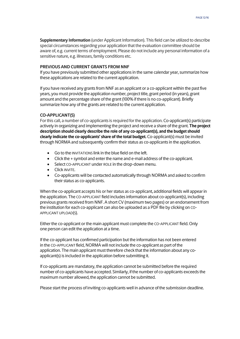**Supplementary Information** (under Applicant Information). This field can be utilized to describe special circumstances regarding your application that the evaluation committee should be aware of, e.g. current terms of employment. Please do not include any personal information of a sensitive nature, e.g. illnesses, family conditions etc.

#### **PREVIOUS AND CURRENT GRANTS FROM NNF**

If you have previously submitted other applications in the same calendar year, summarize how these applications are related to the current application.

If you have received any grants from NNF as an applicant or a co-applicant within the past five years, you must provide the application number, project title, grant period (in years), grant amount and the percentage share of the grant (100% if there is no co-applicant). Briefly summarize how any of the grants are related to the current application.

#### **CO-APPLICANT(S)**

For this call, a number of co-applicants is required for the application. Co-applicant(s) participate actively in organizing and implementing the project and receive a share of the grant. **The project description should clearly describe the role of any co-applicant(s), and the budget should clearly indicate the co-applicants' share of the total budget.** Co-applicant(s) must be invited through NORMA and subsequently confirm their status as co-applicants in the application.

- Go to the INVITATIONS link in the blue field on the left.
- Click the + symbol and enter the name and e-mail address of the co-applicant.
- Select CO-APPLICANT under ROLE in the drop-down menu.
- Click INVITE.
- Co-applicants will be contacted automatically through NORMA and asked to confirm their status as co-applicants.

When the co-applicant accepts his or her status as co-applicant, additional fields will appear in the application. The CO-APPLICANT field includes information about co-applicant(s), including previous grants received from NNF. A short CV (maximum two pages) or an endorsement from the institution for each co-applicant can also be uploaded as a PDF file by clicking on CO-APPLICANT UPLOAD(S).

Either the co-applicant or the main applicant must complete the CO-APPLICANT field. Only one person can edit the application at a time.

If the co-applicant has confirmed participation but the information has not been entered in the CO-APPLICANT field, NORMA will not include the co-applicant as part of the application. The main applicant must therefore check that the information about any coapplicant(s) is included in the application before submitting it.

If co-applicants are mandatory, the application cannot be submitted before the required number of co-applicants have accepted. Similarly, if the number of co-applicants exceeds the maximum number allowed, the application cannot be submitted.

Please start the process of inviting co-applicants well in advance of the submission deadline.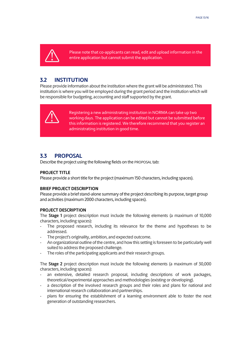

Please note that co-applicants can read, edit and upload information in the entire application but cannot submit the application.

# <span id="page-12-0"></span>**3.2 INSTITUTION**

Please provide information about the institution where the grant will be administrated. This institution is where you will be employed during the grant period and the institution which will be responsible for budgeting, accounting and staff supported by the grant.



Registering a new administrating institution in NORMA can take up two working days. The application can be edited but cannot be submitted before this information is registered. We therefore recommend that you register an administrating institution in good time.

## <span id="page-12-1"></span>**3.3 PROPOSAL**

Describe the project using the following fields on the PROPOSAL tab:

#### **PROJECT TITLE**

Please provide a short title for the project (maximum 150 characters, including spaces).

#### **BRIEF PROJECT DESCRIPTION**

Please provide a brief stand-alone summary of the project describing its purpose, target group and activities (maximum 2000 characters, including spaces).

#### **PROJECT DESCRIPTION**

The **Stage 1** project description must include the following elements (a maximum of 10,000 characters, including spaces):

- The proposed research, including its relevance for the theme and hypotheses to be addressed.
- The project's originality, ambition, and expected outcome.
- An organizational outline of the centre, and how this setting is foreseen to be particularly well suited to address the proposed challenge.
- The roles of the participating applicants and their research groups.

The **Stage 2** project description must include the following elements (a maximum of 30,000 characters, including spaces):

- an extensive, detailed research proposal, including descriptions of work packages, theoretical/experimental approaches and methodologies (existing or developing).
- a description of the involved research groups and their roles and plans for national and international research collaboration and partnerships.
- plans for ensuring the establishment of a learning environment able to foster the next generation of outstanding researchers.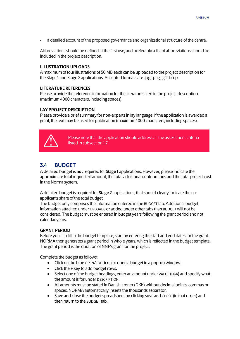a detailed account of the proposed governance and organizational structure of the centre.

Abbreviations should be defined at the first use, and preferably a list of abbreviations should be included in the project description.

#### **ILLUSTRATION UPLOADS**

A maximum of four illustrations of 50 MB each can be uploaded to the project description for the Stage 1 and Stage 2 applications. Accepted formats are .jpg, .png, .gif, .bmp.

#### **LITERATURE REFERENCES**

Please provide the reference information for the literature cited in the project description (maximum 4000 characters, including spaces).

#### **LAY PROJECT DESCRIPTION**

Please provide a brief summary for non-experts in lay language. If the application is awarded a grant, the text may be used for publication (maximum 1000 characters, including spaces).



Please note that the application should address all the assessment criteria listed in subsection 1.7.

# <span id="page-13-0"></span>**3.4 BUDGET**

A detailed budget is **not** required for **Stage 1** applications. However, please indicate the approximate total requested amount, the total additional contributions and the total project cost in the Norma system.

A detailed budget is required for **Stage 2** applications, that should clearly indicate the coapplicants share of the total budget.

The budget only comprises the information entered in the BUDGET tab. Additional budget information attached under UPLOADS or added under other tabs than BUDGET will not be considered. The budget must be entered in budget years following the grant period and not calendar years.

#### **GRANT PERIOD**

Before you can fill in the budget template, start by entering the start and end dates for the grant. NORMA then generates a grant period in whole years, which is reflected in the budget template. The grant period is the duration of NNF's grant for the project.

Complete the budget as follows:

- Click on the blue OPEN/EDIT icon to open a budget in a pop-up window.
- Click the + key to add budget rows.
- Select one of the budget headings, enter an amount under VALUE (DKK) and specify what the amount is for under DESCRIPTION.
- All amounts must be stated in Danish kroner (DKK) without decimal points, commas or spaces. NORMA automatically inserts the thousands separator.
- Save and close the budget spreadsheet by clicking SAVE and CLOSE (in that order) and then return to the BUDGET tab.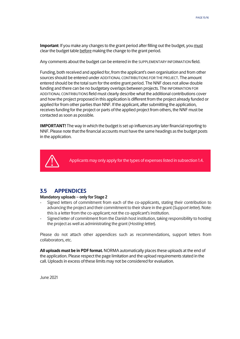**Important**: If you make any changes to the grant period after filling out the budget, you must clear the budget table before making the change to the grant period.

Any comments about the budget can be entered in the SUPPLEMENTARY INFORMATION field.

Funding, both received and applied for, from the applicant's own organisation and from other sources should be entered under ADDITIONAL CONTRIBUTIONS FOR THE PROJECT. The amount entered should be the total sum for the entire grant period. The NNF does not allow double funding and there can be no budgetary overlaps between projects. The INFORMATION FOR ADDITIONAL CONTRIBUTIONS field must clearly describe what the additional contributions cover and how the project proposed in this application is different from the project already funded or applied for from other parties than NNF. If the applicant, after submitting the application, receives funding for the project or parts of the applied project from others, the NNF must be contacted as soon as possible.

**IMPORTANT!** The way in which the budget is set up influences any later financial reporting to NNF. Please note that the financial accounts must have the same headings as the budget posts in the application.



Applicants may only apply for the types of expenses listed in subsection 1.4.

## <span id="page-14-0"></span>**3.5 APPENDICES**

#### **Mandatory uploads – only for Stage 2**

- Signed letters of commitment from each of the co-applicants, stating their contribution to advancing the project and their commitment to their share in the grant (*Support letter*). Note: this is a letter from the co-applicant; not the co-applicant's institution.
- Signed letter of commitment from the Danish host institution, taking responsibility to hosting the project as well as administrating the grant (*Hosting letter*).

Please do not attach other appendices such as recommendations, support letters from collaborators, etc.

**All uploads must be in PDF format.** NORMA automatically places these uploads at the end of the application. Please respect the page limitation and the upload requirements stated in the call.Uploads in excess of these limits may not be considered for evaluation.

June 2021